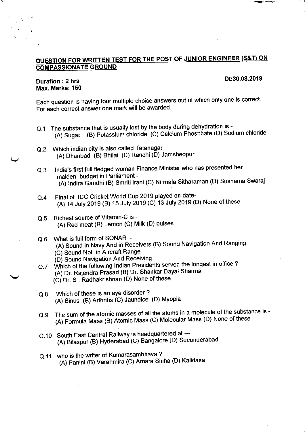## QUESTION FOR WRITTEN TEST FOR THE POST OF JUNIOR ENGINEER (S&T) ON **COMPASSIONATE GROUND**

## Dt:30.08.2019

## Duration : 2 hrs Max. Marks: 150

Each question is having four multiple choice answers out of which only one is correct For each correct answer one mark will be awarded.

- Q.1 The substance that is usually lost by the body during dehydration is -(A) Sugar (B) Potassium chloride (C) Calcium Phosphate (D) Sodium chloride
- Which indian city is also called Tatanagar (A) Dhanbad (B) Bhilai (C) Ranchi (D) Jamshedpur Q.2
- India's first full fledged woman Finance Minister who has presented her maiden budget in Parliament - (A) Indira Gandhi (B) Smriti Irani (C) Nirmala Sitharaman (D) Sushama Swaraj Q,3
- Final of ICC Cricket World Cup 2019 played on date- (A) 14 July 2019 (B) 15 July 2019 (C) 13 July 2019 (D) None of these Q.4
- Richest source of Vitamin-C is (A) Red meat (B) Lemon (C) Milk (D) pulses  $Q.5$
- Q.6 What is full form of SONAR\_-(A) Sound in Navy And in Receivers (B) Sound Navigation And Ranging (C) Sound Not in Aircraft Range (D) Sound Navigation And Receiving
- Q.7 Which of the following Indian Presidents served the longest in office? (A) Dr. Raiendra Prasad (B) Dr. Shankar Dayal Sharma  $t$   $(t)$   $Dr.$   $S$  . Radhakrishnan  $(D)$  None of these
- Which of these is an eye disorder? (A) Sinus (B) Arthritis (C) Jaundice (D) Myopia o.8
- Q.9 The sum of the atomic masses of all the atoms in a molecule of the substance is (A) Formula Mass (B) Atomic Mass (C) Molecular Mass (D) None of these
- Q.10 South East Central Railway is headquartered at ---(A) Bilaspur (B) Hyderabad (C) Bangalore (D) Secunderabad
- Q.11 who is the writer of Kumarasambhava? (A) Panini (B) Varahmira (C) Amara Sinha (D) Kalidasa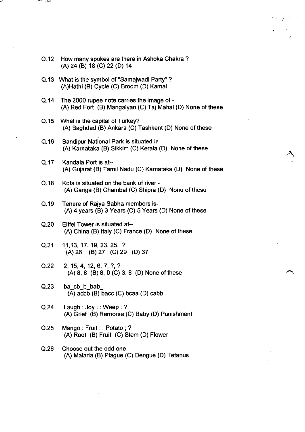| Q.12 How many spokes are there in Ashoka Chakra? |
|--------------------------------------------------|
| (A) 24 (B) 18 (C) 22 (D) 14                      |

- Q.13 What is the symbol of "Samajwadi Party" ? (A)Hathi (B) Cycle (C) Broom (D) Kamal
- Q.14 The 2000 rupee note carries the image of (A) Red Fort (B) Mangalyan (C) Taj Mahal (D) None of these
- Q.15 What is the capital of Turkey? (A) Baghdad (B) Ankara (C) Tashkent (D) None of these
- Q.16 Bandipur National Park is situated in (A) Karnataka (B) Sikkim (C) Kerala (D) None of these
- Q.17 Kandala Port is at-- (A) Gujarat (B) Tamil Nadu (C) Karnataka (D) None of these
- Q.18 Kota is situated on the bank of river -(A) Ganga (B) Chambal (C) Shipra (D) None of these
- Q.19 Tenure of Rajya Sabha members is-  $(A)$  4 years (B) 3 Years (C) 5 Years (D) None of these
- Q.20 Eiffel Tower is situated at-- (A) China (B) ltaly (C) France (D) None of these
- Q.21 11,13, 17,19,23,25, ? (A) 26 (B) 27 (C) 29 (D) 37
- $Q.22$  2, 15, 4, 12, 6, 7, ?, ?  $(A) 8, 8$  (B) 8, 0 (C) 3, 8 (D) None of these
- $Q.23$  bacb b bab (A) acbb (B) bacc (C) bcaa (D) cabb
- Q.24 Laugh: Joy:: Weep: ? (A) Grief (B) Remorse (C) Baby (D) Punishment
- Q.25 Mango: Fruit: : Potato; ? (A) Root (B) Fruit (C) Stem (D) Flower
- Q.26 Choose out the odd one (A) Malaria (B) Plague (C) Dengue (D) Tetanus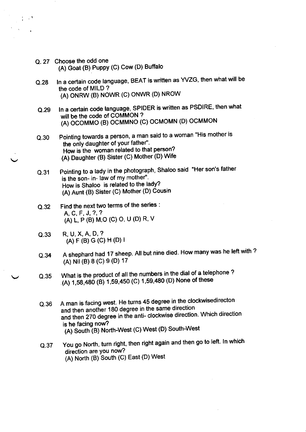Q. 27 Choose the odd one (A) Goat (B) Puppy (C) Cow (D) Buffalo

 $\frac{1}{4}$  and  $\frac{8}{4}$ 

- Q.28 ln a certain code language, BEAT is written as WZG, then what will be the code of MILD ? (A) ONRW (B) NOWR (C) ONWR (D) NROW
- Q.29 In a certain code language, SPIDER is written as PSDIRE, then what will be the code of COMMON ? (A) OCOMMO (B) OCMMNO (C) OCMOMN (D) OCMMON
- Q.30 Pointing towards a person, a man said to a woman "His mother is the only daughter of your father". How is the woman related to that person? (A) Daughter (B) Sister (G) Mother (D) Wife
- Q.31 Pointing to a lady in the photograph, Shaloo said "Her son's father is the son- in- law of my mother". How is Shaloo is related to the ladY? (A) Aunt (B) Sister (C) Mother (D) Cousin
- Q.32 Find the next two terms of the series : A,C,F,J,?,? (A) L, P (B) M,O (C) O, U (D) R' V
- o.33 R,U,X,A,D,? (A) F (B) G (C) H (D) <sup>I</sup>
- Q.34 A shephard had 17 sheep. All but nine died. How many was he left with ? (A) Nil (B) 8 (C) 9 (D) 17
- Q.35 What is the product of all the numbers in the dial of a telephone ? (A) 1,58,480 (B) 1,59,450 (C) 1,59,480 (D) None of these
	- Q.36 A man is facing west. He turns 45 degree in the clockwisedirecton and then 270 degree in the anti- clockwise direction. Which direction and then another 180 degree in the same direction is he facing now? (A) South (B) North-West (C) West (D) South-West
	- o.37 You go North, turn right, then right again and then go to left. In which direction are you now? (A) North (B) South (C) East (D) West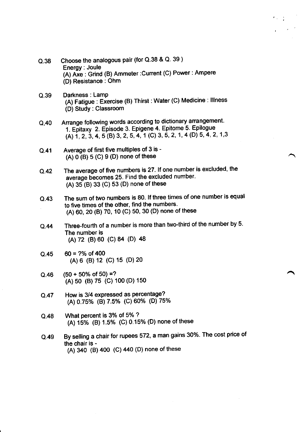- Q.38 Choose the analogous pair (for O.38 & O. 39 ) Energy: Joule (A) Axe : Grind (B) Ammeter:Current (C) Power: Ampere (D) Resistance : Ohm
- Q.39 Darkness : Lamp (A) Fatigue : Exercise (B) Thirst : Water (C) Medicine : lllness (D) Study: Classroom
- Q,40 Arrange following words according to dictionary arrangement. 1. Epitaxy 2. Episode 3. Epigene 4. Epitome 5. Epilogue (A)  $1, 2, 3, 4, 5$  (B) 3, 2, 5, 4, 1 (C) 3, 5, 2, 1, 4 (D) 5, 4, 2, 1, 3
- Q.41 Average of first five multiples of 3 is - (A)  $0($ B) 5 (C) 9 (D) none of these
- Q.42 The average of five numbers is 27. lf one number is excluded, the average becomes 25. Find the excluded number.  $(A)$  35 (B) 33 (C) 53 (D) none of these
- Q.43 The sum of two numbers is 80. lf three times of one number is equal to five times of the other, find the numbers. (A) 60, 20 (B) 70, 10 (C) 50, 30 (D) none of these
- Q.44 Three-fourth of a number is more than two-third of the number by 5. The number is (A) 72 (B) 60 (C) 84 (D) 48
- Q.45  $60 = ?%$  of 400 (A) 6 (B) 12 (C) 15 (D) 20
- Q.46  $(50 + 50\% \text{ of } 50) = ?$ (A) 50 (B) 75 (C) 100 (D) 150
- Q.47 How is 3/4 expressed as percentage? (A) 0.75% (B)7.5Yo (c) 60% (D) 75%
- Q.48 What percent is 3% of 5% ? (A) 15% (B) 1.5% (C) 0.15% (D) none of these
- Q.49 By selling a chair for rupees 572, a man gains 30%. The cost price of the chair is - (A) 340 (B) 400 (C) 440 (D) none of these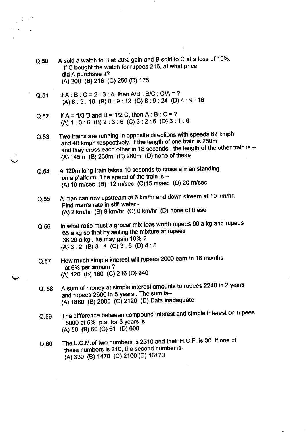| Q.50 | A sold a watch to B at 20% gain and B sold to C at a loss of 10%.<br>If C bought the watch for rupees 216, at what price |  |
|------|--------------------------------------------------------------------------------------------------------------------------|--|
|      | did A purchase it?                                                                                                       |  |
|      | (A) 200 (B) 216 (C) 250 (D) 176                                                                                          |  |

- Q.51 If  $A : B : C = 2 : 3 : 4$ , then  $A/B : B/C : C/A = ?$ (A)8: 9: 16 (B) 8:9:12 (C)8:9 :24 (D)4:9: <sup>16</sup>
- Q.52 If  $A = 1/3$  B and B = 1/2 C, then A : B : C = ? (A)1 :3:6 (B)2:3:6 (C) 3:2:6 (D)3: 1 :6
- Q.53 Two trains are running in opposite directions with speeds 62 kmph and 40 kmph respectively. If the length of one train is 250m and they cross each other in 18 seconds, the length of the other train is --(A) 145m (B) 230m (C) 260m (D) none of these
- Q.54 A 120m long train takes 10 seconds to cross a man standing on a platform. The speed of the train is --(A) 10 m/sec (B) 12 m/sec (C)15 m/sec (D) 20 m/sec
- o.55 A man can row upstream at 6 km/hr and down stream at 10 km/hr. Find man's rate in still water -  $(A)$  2 km/hr  $(B)$  8 km/hr  $(C)$  0 km/hr  $(D)$  none of these
- Q.56 ln what ratio must a grocer mix teas worth rupees 60 a kg and rupees 65 a kg so that by selling the mixture at rupees 68.20 a kg , he may gain 10% ? (A)  $3:2$  (B)  $3:4$  (C)  $3:5$  (D)  $4:5$
- Q.57 How much simple interest will rupees 2000 earn in 18 months at 6% per annum? (A) 120 (B) 180 (C) 216 (D) 240
- Q. 58 <sup>A</sup>sum of money at simple interest amounts to rupees 2240 in 2 years and rupees 2600 in 5 years . The sum is- (A) 1880 (B) 2000 (C) 2120 (D) Data inadequate
- Q.59 The difference between compound interest and simple interest on rupees  $8000$  at 5% p.a. for 3 years is (A) 50 (B) 60 (c) 61 (D) 600
- Q.60 The L.C.M.of two numbers is 2310 and their H.C.F. is 30 .If one of these numbers is 210, the second number is- (A) 330 (B) 1470 (c) 2100 (D) 16170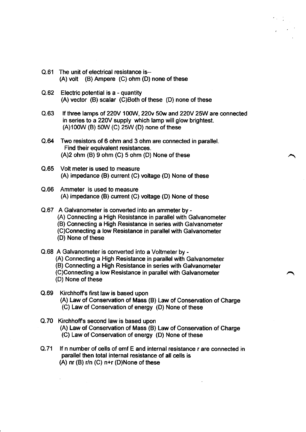- Q.61 The unit of electrical resistance is- (A) volt (B) Ampere (C) ohm (D) none of these
- Q.62 Electric potential is a quantity  $(A)$  vector  $(B)$  scalar  $(C)$ Both of these  $(D)$  none of these
- Q.63 If three lamps of 220V 100W, 220v 50w and 220V 25W are connected in series to a22OY supply which lamp will glow brightest. (A)100W (B) 50W (C) 25W (D) none of these
- Q.64 Two resistors of 6 ohm and 3 ohm are connected in parallel. Find their equivalent resistances.  $(A)2$  ohm  $(B)$  9 ohm  $(C)$  5 ohm  $(D)$  None of these
- Q.65 Volt meter is used to measure (A) impedance (B) current (C) voltage (D) None of these
- Q.66 Ammeter is used to measure (A) impedance (B) current (C) voltage (D) None of these
- Q.67 A Galvanometer is converted into an ammeter by (A) Connecting a High Resistance in parallel with Galvanometer (B) Connecting a High Resistance in series with Galvanometer (C)Connecting a low Resistance in parallel with Galvanometer (D) None of these
- Q.68 A Galvanometer is converted into a Voltmeter by (A) Connecting a High Resistance in parallel with Galvanometer (B) Connecting a High Resistance in series with Galvanometer (C)Connecting a low Resistance in parallel with Galvanometer (D) None of these
- Q.69 Kirchhoffs first law is based upon (A) Law of Conservation of Mass (B) Law of Conservation of Charge (C) Law of Conservation of energy (D) None of these
- Q.70 Kirchhoffs second law is based upon (A) Law of Conservation of Mass (B) Law of Conservation of Charge (C) Law of Conservation of energy (D) None of these
- O.71 lf n number of cells of emf E and internal resistance r are connected in parallel then total internal resistance of all cells is (A) nr (B) r/n (C) n+r (D)None of these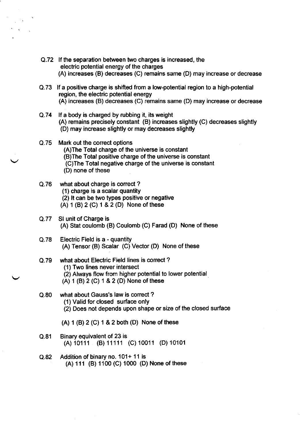- Q.72 lf the separation between two charges is increased, the electric potential energy of the charges (A) increases (B) decreases (C) remains same (D) may increase or decrease
- Q.73 lf a positive charge is shifted from a low-potential region to a high-potential region, the electric potential energy (A) increases (B) decreases (C) remains same (D) may increase or decrease
- Q.74 lf a body is charged by rubbing it, its weight (A) remains precisely constant (B) increases slightly (C) decreases slightly (D) may increase slightly or may decreases slightly
- Q.75 Mark out the correct options (A)The Total charge of the universe is constant (B)The Total positive charge of the universe is constant (C)The Total negative charge of the universe is constant (D) none of these
- Q.76 what about charge is correct ? (1) charge is a scalar quantity (2) lt can be two types positive or negative (A) 1 (B) 2 (C) 1 & 2 (D) None of these
- Q.77 Sl unit of Charge is (A) Stat coulomb (B) Coulomb (C) Farad (D) None of these
- Q.78 Electric Field is a quantity  $(A)$  Tensor  $(B)$  Scalar  $(C)$  Vector  $(D)$  None of these
- Q.79 what about Electric Field lines is correct ? (1) Two lines never intersect (2) Always flow from higher potential to lower potential (A) 1 (B) 2 (C) 1 & 2 (D) None of these
- Q.80 what about Gauss's law is correct ? (1) Valid for closed surface only (2) Does not depends upon shape or size of the closed surface
	- (A) 1 (B) 2 (C) 1 & 2 both (D) None of these
- Q.81 Binary equivalent of 23 is (A)10111 (B) 11111 (C) 10011 (D) 10101
- Q.82 Addition of binary no. 101+ 11 is (A) 111 (B) 1100 (C) 1000 (D) None of these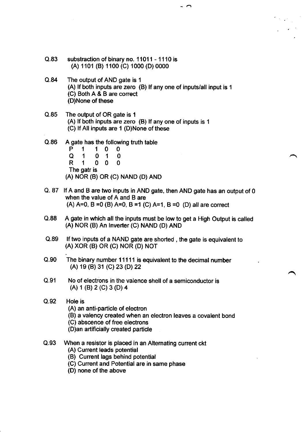- Q.83 substraction of binary no. 11011 1110 is (A) 1 101 (B) 1 100 (C) 1 000 (D) 0000
- Q.84 The output of AND gate is <sup>1</sup> (A) lf both inputs are zero (B) lf any one of inputs/all input is <sup>1</sup> (C) Both A & B are correct (D)None of these

 $\overline{\phantom{a}}$ 

- Q.85 The output of OR gate is <sup>1</sup> (A) lf both inputs are zero (B) lf any one of inputs is <sup>1</sup> (C) If All inputs are  $1$  (D)None of these
- Q.86 A gate has the following truth table<br>  $P$  1 1 0 0<br>  $Q$  1 0 1 0<br>  $R$  1 0 0 0 The gatr is  $1\quad 0$ 0 0 0 (A) NOR (B) OR (C) NAND (D) AND
- Q. 87 lf A and B are two inputs in AND gate, then AND gate has an output of 0 when the value of A and B are (A)  $A=0$ ,  $B=0$  (B)  $A=0$ ,  $B=1$  (C)  $A=1$ ,  $B=0$  (D) all are correct
- Q.88 A gate in which all the inputs must be low to get a High Output is called (A) NOR (B) An lnverter (C) NAND (D) AND
- Q.89 lf two inputs of a NAND gate are shorted , the gate is equivalent to (A) XOR (B) OR (C) NOR (D) NOr
- Q.90 The binary number 11111 is equivalent to the decimal number (A) 19 (B) 31 (C) 23 (D) 22
- Q.91 No of electrons in the valence shell of a semiconductor is (A) 1 (B) 2 (C) 3 (D) 4
- Q.92 Hole is (A) an anti-particle of electron (B) a valency created when an electron leaves a covalent bond (C) abscence of free electrons (D)an artificially created particle
- Q.93 When a resistor is placed in an Altemating current ckt
	- (A) Current leads potential
	- (B) Current lags behind potential
	- (C) Current and Potential are in same phase
	- (D) none of the above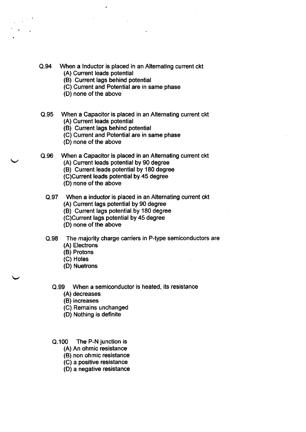- Q.94 When a lnductor is placed in an Altemating current ckt
	- (A) Current leads potential
	- (B) Current lags behind potential
	- (C) Current and Potential are in same phase
	- (D) none of the above
- Q.95 When a Capacitor is placed in an Alternating current ckt (A) Current leads potential
	- (B) Cunent lags behind potential
	- (C) Current and Potential are in same phase
	- (D) none of the above
- Q.96 When a Capacitor is placed in an Alternating current ckt (A) Current leads potential by 90 degree
	- (B) Current leads potential by 180 degree
	- (C)Current leads potential by 45 degree
	- (D) none of the above
	-
	- Q.97 When a inductor is placed in an Alternating current ckt (A) Current lags potential by 90 degree
		- (B) Current lags potential by 180 degree
		- (C)Cunent lags potential by 45 degree
		- (D) none of the above
	- Q.98 The majority charge carriers in P-type semiconductors are (A) Electrons
		- (B) Protons
		- (C) Holes
		- (D) Nuetrons
		- Q.99 When a semiconductor is heated, its resistance
			- (A) decreases
			- (B) increases
			- (C) Remains unchanged
			- (D) Nothing is definite
		- Q.100 The P-N junction is
			- (A) An ohmic resistance
			- (B) non ohmic resistance
			- (C) a positive resistance
			- (D) a negative resistance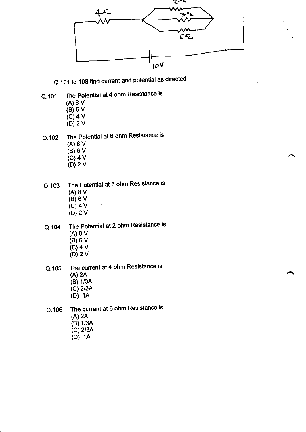

Q.101 to 108 find current and potential as directed

- Q.101 The Potential at 4 ohm Resistance is
	- (A)8v
	- (B)6V
	- $(C)$  4 V
	- $(D)$  2 V
- 0.102 The Potential at 6 ohm Resistance is (A) 8V  $(B)$  6 V
	- (c)4v  $(D)$  2 V
- The Potential at 3 ohm Resistance is (A)8v (B)6V  $(C)$  4 V (D)2v Q.103
- The Potential at 2 ohm Resistance is (A)8V (B)6v  $(C)$  4 V (D)2V Q.104
- The current at 4 ohm Resistance is (A) 2A Q.105
	- (B) 1/34
	- (c) 2/3A
	- (D) 1A

The current at 6 ohm Resistance is (A) 2A (B) 1/3A Q.106

- (c) 2/3A
- $(D)$  1A
-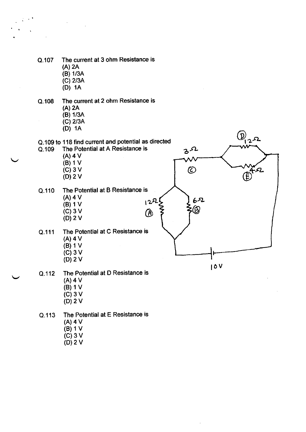- Q.107 The current at 3 ohm Resistance is (A) 2A (B) 1/34 (c) 2/34 (D) 1A
- Q.108 The current at 2 ohm Resistance is (A) 2A (B) 1/3A (c) 2/3A (D) 1A
- $\bigcirc$   $\bigcirc$   $\circ$ Q.109 to 118 find current and potential as directed<br>Q.109 The Potential at A Resistance is The Potential at A Resistance is b '<br>A  $(A)$  4 V  $(B)$  1 V  $(C)$  3 V  $\circledcirc$  $\widehat{\mathsf{E}}$ (D)2v Q.110 The Potential at B Resistance is  $(A)$  4 V<br>(B) 1 V  $122$ (B) 1 V  $122\begin{bmatrix} 62 \\ 8 \end{bmatrix}$  62 (c) 3V a  $\frac{5}{9}$   $\frac{5}{3}$   $\frac{5}{9}$ (D)2v Q.111 The Potential at C Resistance is (A)4v (B) 1v (c)3v (D)2v l0vQ.112 The Potential at D Resistance is (A)4v (B) 1V
	-
	- $(C)$  3 V (D)2v
- Q.113 The Potential at E Resistance is  $(A)$  4 V (B)1v
	- $(C)$  3 V
	- (D)2v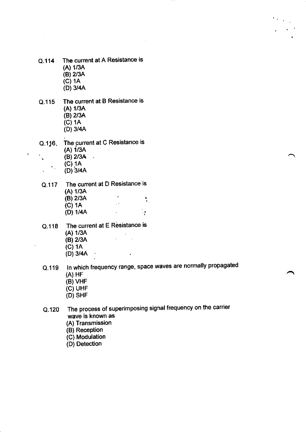- Q.114 The current at A Resistance is (A) 1/34 (B) 2/3A  $\overline{(C)}$  1A (D) 3/4A
- Q.115 The current at B Resistance is (A) 1/3A (B) 2/3A  $(C)$  1A (D) 3/4A
- Q.116. The current at C Resistance is  $(A)$  1/3A (B) 2/34  $\sim$ k.  $(C)$  1A  $\mathbf{v}_{\mathrm{in}}$ (D) 3/4A

Q.117 The current at D Resistance is (A) 1/3A  $(B)$  2/3A ... (c) 1A (D) 1/4A ١è

- Q.118 The current at E Resistance is (A) 1/3A  $\mathbb{R}^2$ (B) 2/3A
	- (c) 1A
	- (D)  $3/4A$
- Q.119 ln which frequency range, space waves are normally propagated (A) HF
	- (B) VHF
	- (c) UHF
	- (D) SHF

Q.120 The process of superimposing signal frequency on the carrier wave is known as

- (A) Transmission
- (B) Reception
- (C) Modulation
- (D) Detection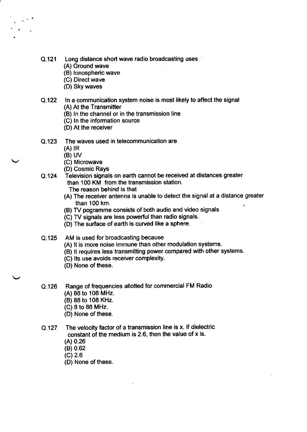- Q.121 Long distance short wave radio broadcasting uses
	- (A) Ground wave
	- (B) lonospheric wave
	- (C) Direct wave
	- (D) Sky waves
- Q.122 ln a communication system noise is most likely to affect the signal (A) At the Transmitter
	- (B) ln the channel or in the transmission line
	- (C) ln the information source
	- (D) At the receiver
- o.123 The waves used in telecommunication are
	- $(A)$   $R$
	- (B) UV
	- (C) Microwave
	- (D) Cosmic Rays
- Q.124 Television signals on earth cannot be received at distances greater than 100 KM from the transmission station.
	- The reason behind is that
	- (A) The receiver antenna is unable to detect the signal at a distance greater than 100 km.
	- (B) TV pogramme consists of both audio and video signals
	- (C) TV signals are less powerful than radio signals.
	- (D) The surface of earth is curved like a sphere.
- AM is used for broadcasting because Q.125
	- (A) lt is more noise immune than other modulation systems.
	- (B) lt requires less transmitting power compared with other systems
	- (C) lts use avoids receiver complexity.
	- (O) None of these.
- Q.126 Range of frequencies allotted for commercial FM Radio
	- (A) 88 to 108 MHz.
	- (B) 88 to 108 KHz.
	- $(C)$  8 to 88 MHz.
	- (D) None of these.
- Q.127 The velocity factor of a transmission line is x. lf dielectric constant of the medium is 2.6, then the value of x is.
	- (A) 0.26
	- (B) 0.62
	- (c) 2.6
	- (D) None of these.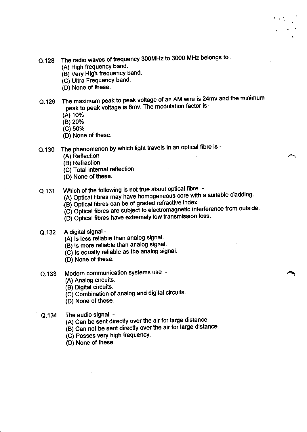- Q.128 The radio waves of frequency 300MHz to 3000 MHz belongs to .
	- (A) High frequency band.
	- (B) Very High frequency band.
	- (C) Ultra FrequencY band.
	- (D) None of these.
- o.129 The maximum peak to peak voltage of an AM wire is 24mv and the minimum peak to peak voltage is 8mv. The modulation factor is-
	- (A) 10%
	- (B) 20%
	- (c) 50%
	- (D) None of these.
- Q.130 The phenomenon by which light travels in an optical fibre is -
	- (A) Reflection
	- (B) Refraction
	- (C) Total internal reflection
	- (D) None of these.
- Q.131 Which of the following is not true about optical fibre -
	- (A) Optical fibres may have homogeneous core with a suitable cladding.
		- (B) Optical fibres can be of graded refractive index.
		- $\overline{c}$  C) Optical fibres are subject to electromagnetic interference from outside.
		- $(D)$  Optical fibres have extremely low transmission loss.
- Q.132 A digital signal -
	- (A) is less reliable than analog signal.
	- $\overline{16}$  is more reliable than analog signal.
	- $\overline{C}$  is equally reliable as the analog signal.
	- (D) None of these.
- Q.133 Modern communication systems use -
	- (A) Analog circuits.
	- (B) Digital circuits.
	- $\overline{C}$  Combination of analog and digital circuits.
	- (D) None of these.
- Q.134 The audio signal -
	- (A) Can be sent directly over the air for large distance.
	- $\overline{(\mathsf{B})}$  Can not be sent directly over the air for large distance.
	- (C) Posses very high frequencY.
	- (D) None of these.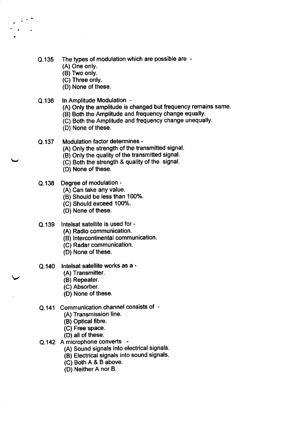- Q.135 The types of modulation which are possible are
	- (A) One only.
	- (B) Two only.
	- (C) Three onlY.
	- (D) None of these.
- Q.136 ln Amplitude Modulation -
	- (A) Only the amplitude is changed but frequency remains same.
	- (B) Both the Amplitude and frequency change equally.
	- (C) Both the Amplitude and frequency change unequally.
	- (D) None of these.
- Q.137 Modulation factor determines -
	- (A) Only the strength of the transmitted signal.
	- (B) Only the quality of the transmitted signal.
	- (C) Both the strength & quality of the signal.
	- (D) None of these.
- Q.138 Degree of modulation -
	- (A) Can take any value.
	- (B) Should be less than 100%
	- (C) Should exceed 100%.
	- (D) None of these.
- Q.139 lntelsat satellite is used for -
	- (A) Radio communication.
	- (B) lntercontinental communication-
	- (C) Radar communication.
	- (D) None of these.
- Q.140 lntelsat satellite works as a -
	- (A) Transmitter.
	- (B) Repeater.
	- (C) Absorber.
	- (D) None of these.
- Q.141 Communication channel consists of
	- (A) Transmission line.
	- (B) OPtical fibre.
	- (C) Free space.
	- (D) all of these.
- Q.142 A microphone converts -
	- A) Sound signals into electrical signals (
	- (B) Electrical signals into sound signals.
	- (C) Both A & B above.
	- D) Neither A nor B. (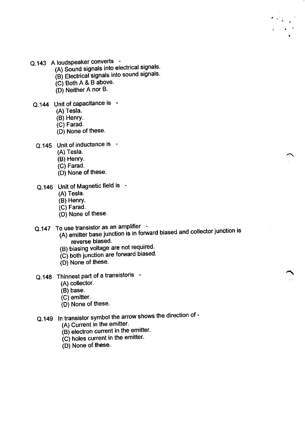- Q.143 A loudspeaker converts -
	- (A) Sound signals into electrical signals.
	- (B) Electrical signals into sound signals.
	- $(C)$  Both A & B above.
	- $(D)$  Neither A nor B.
- Q.144 Unit of capacitance is -
	- (A) Tesla.
	- (B) Henry.
	- (C) Farad.
	- (D) None of these.
- Q.145 Unit of inductance is
	- (A) Tesla.
	- (B) Henry.
	- (C) Farad.
	- (D) None of these.
- Q.146 Unit of Magnetic field is -
	- (A) Tesla.
	- (B) Henry.
	- (C) Farad.
	- (D) None of these.
- Q.147 To use transistor as an amplifier -
	- $($ A) emitter base junction is in forward biased and collector junction is reverse biased.
	- (B) biasing voltage are not required.
	- $(c)$  both junction are forward biased.
	- (D) None of these.
- Q.148 Thinnest part of a transistoris
	- (A) collector.
	- (B) base.
	- (C) emitter.
	- $(D)$  None of these.
- Q.149 ln transistor symbol the arrow shows the direction of
	- (A) Current in the emitter.
	- $\overrightarrow{B}$  electron current in the emitter.
	- $(C)$  holes current in the emitter.
	- (D) None of these.